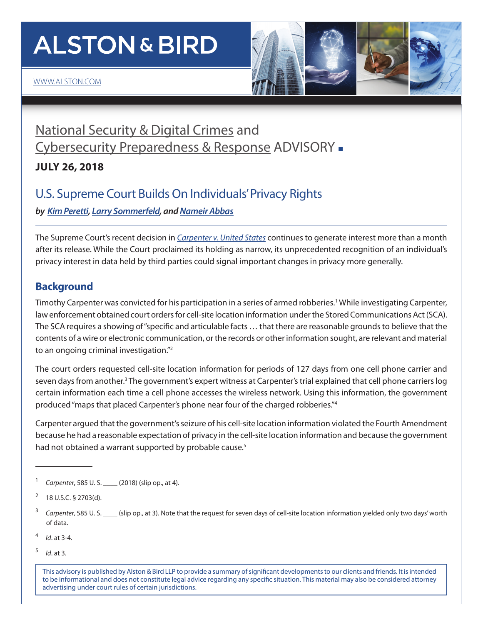# **ALSTON & BIRD**



### [National Security & Digital Crimes](https://www.alston.com/en/services/practices/corporate--finance/privacy--data-security/national-security-digital-crimes) and [Cybersecurity Preparedness & Response](https://www.alston.com/en/services/practices/corporate--finance/privacy--data-security/cybersecurity-preparedness--response) ADVISORY -

**JULY 26, 2018**

### U.S. Supreme Court Builds On Individuals' Privacy Rights

*by [Kim Peretti](https://www.alston.com/en/professionals/p/peretti-kimberly-kiefer), [Larry Sommerfeld,](https://www.alston.com/en/professionals/s/sommerfeld-lawrence) and [Nameir Abbas](https://www.alston.com/en/professionals/a/abbas-nameir)*

The Supreme Court's recent decision in *[Carpenter v. United States](https://www.supremecourt.gov/opinions/17pdf/16-402_h315.pdf)* continues to generate interest more than a month after its release. While the Court proclaimed its holding as narrow, its unprecedented recognition of an individual's privacy interest in data held by third parties could signal important changes in privacy more generally.

### **Background**

Timothy Carpenter was convicted for his participation in a series of armed robberies.<sup>1</sup> While investigating Carpenter, law enforcement obtained court orders for cell-site location information under the Stored Communications Act (SCA). The SCA requires a showing of "specific and articulable facts … that there are reasonable grounds to believe that the contents of a wire or electronic communication, or the records or other information sought, are relevant and material to an ongoing criminal investigation."2

The court orders requested cell-site location information for periods of 127 days from one cell phone carrier and seven days from another.<sup>3</sup> The government's expert witness at Carpenter's trial explained that cell phone carriers log certain information each time a cell phone accesses the wireless network. Using this information, the government produced "maps that placed Carpenter's phone near four of the charged robberies."4

Carpenter argued that the government's seizure of his cell-site location information violated the Fourth Amendment because he had a reasonable expectation of privacy in the cell-site location information and because the government had not obtained a warrant supported by probable cause.<sup>5</sup>

<sup>5</sup> *Id*. at 3.

This advisory is published by Alston & Bird LLP to provide a summary of significant developments to our clients and friends. It is intended to be informational and does not constitute legal advice regarding any specific situation. This material may also be considered attorney advertising under court rules of certain jurisdictions.

<sup>1</sup> *Carpenter*, 585 U. S. \_\_\_\_ (2018) (slip op., at 4).

 $^{2}$  18 U.S.C. § 2703(d).

<sup>&</sup>lt;sup>3</sup> *Carpenter*, 585 U. S. (slip op., at 3). Note that the request for seven days of cell-site location information yielded only two days' worth of data.

<sup>4</sup> *Id*. at 3-4.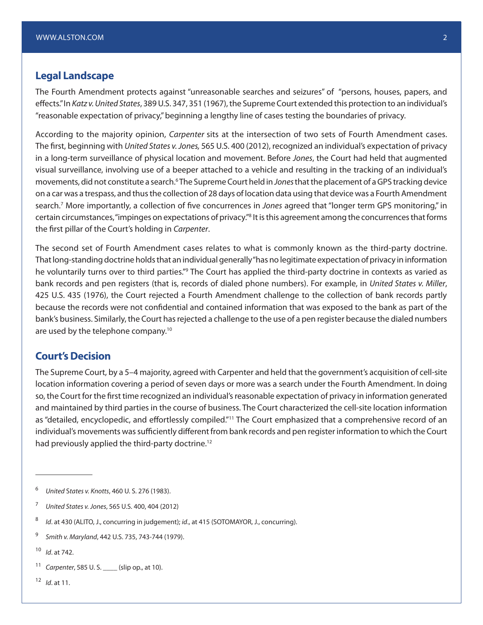#### **Legal Landscape**

The Fourth Amendment protects against "unreasonable searches and seizures" of "persons, houses, papers, and effects." In *Katz v. United States*, 389 U.S. 347, 351 (1967), the Supreme Court extended this protection to an individual's "reasonable expectation of privacy," beginning a lengthy line of cases testing the boundaries of privacy.

According to the majority opinion, *Carpenter* sits at the intersection of two sets of Fourth Amendment cases. The first, beginning with *United States v. Jones,* 565 U.S. 400 (2012), recognized an individual's expectation of privacy in a long-term surveillance of physical location and movement. Before *Jones*, the Court had held that augmented visual surveillance, involving use of a beeper attached to a vehicle and resulting in the tracking of an individual's movements, did not constitute a search.<sup>6</sup> The Supreme Court held in *Jones* that the placement of a GPS tracking device on a car was a trespass, and thus the collection of 28 days of location data using that device was a Fourth Amendment search.7 More importantly, a collection of five concurrences in *Jones* agreed that "longer term GPS monitoring," in certain circumstances, "impinges on expectations of privacy."<sup>8</sup> It is this agreement among the concurrences that forms the first pillar of the Court's holding in *Carpenter*.

The second set of Fourth Amendment cases relates to what is commonly known as the third-party doctrine. That long-standing doctrine holds that an individual generally "has no legitimate expectation of privacy in information he voluntarily turns over to third parties."<sup>9</sup> The Court has applied the third-party doctrine in contexts as varied as bank records and pen registers (that is, records of dialed phone numbers). For example, in *United States v. Miller*, 425 U.S. 435 (1976), the Court rejected a Fourth Amendment challenge to the collection of bank records partly because the records were not confidential and contained information that was exposed to the bank as part of the bank's business. Similarly, the Court has rejected a challenge to the use of a pen register because the dialed numbers are used by the telephone company.<sup>10</sup>

#### **Court's Decision**

The Supreme Court, by a 5–4 majority, agreed with Carpenter and held that the government's acquisition of cell-site location information covering a period of seven days or more was a search under the Fourth Amendment. In doing so, the Court for the first time recognized an individual's reasonable expectation of privacy in information generated and maintained by third parties in the course of business. The Court characterized the cell-site location information as "detailed, encyclopedic, and effortlessly compiled."<sup>11</sup> The Court emphasized that a comprehensive record of an individual's movements was sufficiently different from bank records and pen register information to which the Court had previously applied the third-party doctrine.<sup>12</sup>

- <sup>11</sup> *Carpenter*, 585 U. S. \_\_\_\_ (slip op., at 10).
- <sup>12</sup> *Id*. at 11.

<sup>6</sup> *United* S*tates v. Knotts*, 460 U. S. 276 (1983).

<sup>7</sup> *United States v. Jones*, 565 U.S. 400, 404 (2012)

<sup>8</sup> *Id*. at 430 (ALITO, J., concurring in judgement); *id*., at 415 (SOTOMAYOR, J., concurring).

<sup>9</sup> *Smith v. Maryland*, 442 U.S. 735, 743-744 (1979).

<sup>10</sup> *Id*. at 742.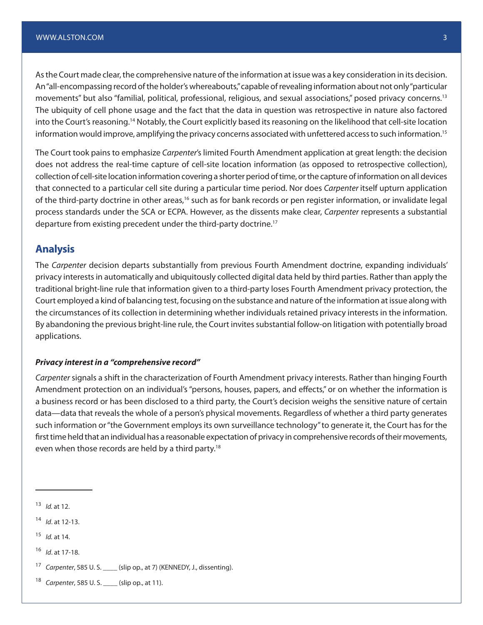As the Court made clear, the comprehensive nature of the information at issue was a key consideration in its decision. An "all-encompassing record of the holder's whereabouts," capable of revealing information about not only "particular movements" but also "familial, political, professional, religious, and sexual associations," posed privacy concerns.13 The ubiquity of cell phone usage and the fact that the data in question was retrospective in nature also factored into the Court's reasoning.14 Notably, the Court explicitly based its reasoning on the likelihood that cell-site location information would improve, amplifying the privacy concerns associated with unfettered access to such information.<sup>15</sup>

The Court took pains to emphasize *Carpenter*'s limited Fourth Amendment application at great length: the decision does not address the real-time capture of cell-site location information (as opposed to retrospective collection), collection of cell-site location information covering a shorter period of time, or the capture of information on all devices that connected to a particular cell site during a particular time period. Nor does *Carpenter* itself upturn application of the third-party doctrine in other areas,<sup>16</sup> such as for bank records or pen register information, or invalidate legal process standards under the SCA or ECPA. However, as the dissents make clear, *Carpenter* represents a substantial departure from existing precedent under the third-party doctrine.17

#### **Analysis**

The *Carpenter* decision departs substantially from previous Fourth Amendment doctrine, expanding individuals' privacy interests in automatically and ubiquitously collected digital data held by third parties. Rather than apply the traditional bright-line rule that information given to a third-party loses Fourth Amendment privacy protection, the Court employed a kind of balancing test, focusing on the substance and nature of the information at issue along with the circumstances of its collection in determining whether individuals retained privacy interests in the information. By abandoning the previous bright-line rule, the Court invites substantial follow-on litigation with potentially broad applications.

#### *Privacy interest in a "comprehensive record"*

*Carpenter* signals a shift in the characterization of Fourth Amendment privacy interests. Rather than hinging Fourth Amendment protection on an individual's "persons, houses, papers, and effects," or on whether the information is a business record or has been disclosed to a third party, the Court's decision weighs the sensitive nature of certain data—data that reveals the whole of a person's physical movements. Regardless of whether a third party generates such information or "the Government employs its own surveillance technology" to generate it, the Court has for the first time held that an individual has a reasonable expectation of privacy in comprehensive records of their movements, even when those records are held by a third party.<sup>18</sup>

<sup>18</sup> *Carpenter*, 585 U. S. \_\_\_\_ (slip op., at 11).

<sup>13</sup> *Id.* at 12.

<sup>14</sup> *Id*. at 12-13.

<sup>15</sup> *Id.* at 14.

<sup>16</sup> *Id*. at 17-18.

<sup>17</sup> *Carpenter*, 585 U. S. \_\_\_\_ (slip op., at 7) (KENNEDY, J., dissenting).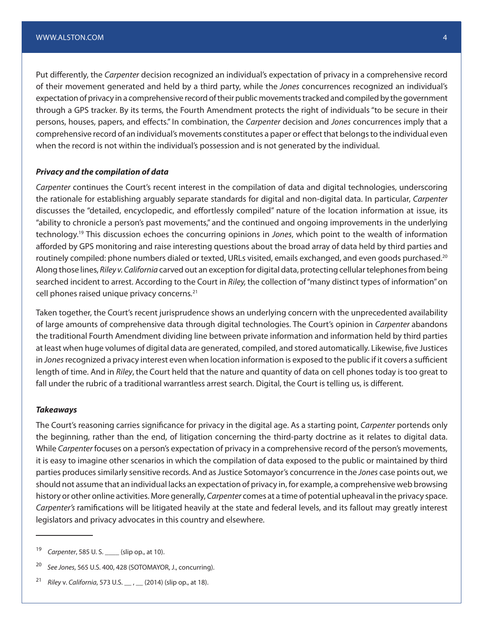Put differently, the *Carpenter* decision recognized an individual's expectation of privacy in a comprehensive record of their movement generated and held by a third party, while the *Jones* concurrences recognized an individual's expectation of privacy in a comprehensive record of their public movements tracked and compiled by the government through a GPS tracker. By its terms, the Fourth Amendment protects the right of individuals "to be secure in their persons, houses, papers, and effects." In combination, the *Carpenter* decision and *Jones* concurrences imply that a comprehensive record of an individual's movements constitutes a paper or effect that belongs to the individual even when the record is not within the individual's possession and is not generated by the individual.

#### *Privacy and the compilation of data*

*Carpenter* continues the Court's recent interest in the compilation of data and digital technologies, underscoring the rationale for establishing arguably separate standards for digital and non-digital data. In particular, *Carpenter* discusses the "detailed, encyclopedic, and effortlessly compiled" nature of the location information at issue, its "ability to chronicle a person's past movements," and the continued and ongoing improvements in the underlying technology.19 This discussion echoes the concurring opinions in *Jones*, which point to the wealth of information afforded by GPS monitoring and raise interesting questions about the broad array of data held by third parties and routinely compiled: phone numbers dialed or texted, URLs visited, emails exchanged, and even goods purchased.<sup>20</sup> Along those lines, *Riley v. California* carved out an exception for digital data, protecting cellular telephones from being searched incident to arrest. According to the Court in *Riley,* the collection of "many distinct types of information" on cell phones raised unique privacy concerns*.* 21

Taken together, the Court's recent jurisprudence shows an underlying concern with the unprecedented availability of large amounts of comprehensive data through digital technologies. The Court's opinion in *Carpenter* abandons the traditional Fourth Amendment dividing line between private information and information held by third parties at least when huge volumes of digital data are generated, compiled, and stored automatically. Likewise, five Justices in *Jones* recognized a privacy interest even when location information is exposed to the public if it covers a sufficient length of time. And in *Riley*, the Court held that the nature and quantity of data on cell phones today is too great to fall under the rubric of a traditional warrantless arrest search. Digital, the Court is telling us, is different.

#### *Takeaways*

The Court's reasoning carries significance for privacy in the digital age. As a starting point, *Carpenter* portends only the beginning, rather than the end, of litigation concerning the third-party doctrine as it relates to digital data. While *Carpenter* focuses on a person's expectation of privacy in a comprehensive record of the person's movements, it is easy to imagine other scenarios in which the compilation of data exposed to the public or maintained by third parties produces similarly sensitive records. And as Justice Sotomayor's concurrence in the *Jones* case points out, we should not assume that an individual lacks an expectation of privacy in, for example, a comprehensive web browsing history or other online activities. More generally, *Carpenter* comes at a time of potential upheaval in the privacy space. *Carpenter's* ramifications will be litigated heavily at the state and federal levels, and its fallout may greatly interest legislators and privacy advocates in this country and elsewhere.

<sup>19</sup> *Carpenter*, 585 U. S. \_\_\_\_ (slip op., at 10).

<sup>20</sup> *See Jones*, 565 U.S. 400, 428 (SOTOMAYOR, J., concurring).

<sup>21</sup> *Riley* v. *California*, 573 U.S. \_\_ , \_\_ (2014) (slip op., at 18).